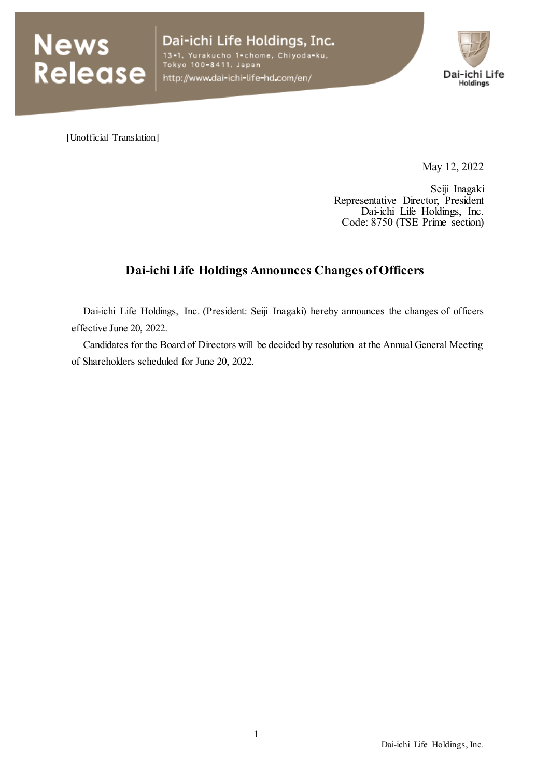

Dai-ichi Life Holdings, Inc. 13–1, Yurakucho 1-chome, Chiyoda-ku,<br>Tokyo 100–8411, Japan http://www.dai-ichi-life-hd.com/en/



[Unofficial Translation]

May 12, 2022

Seiji Inagaki Representative Director, President Dai-ichi Life Holdings, Inc. Code: 8750 (TSE Prime section)

# **Dai-ichi Life Holdings Announces Changes of Officers**

Dai-ichi Life Holdings, Inc. (President: Seiji Inagaki) hereby announces the changes of officers effective June 20, 2022.

Candidates for the Board of Directors will be decided by resolution at the Annual General Meeting of Shareholders scheduled for June 20, 2022.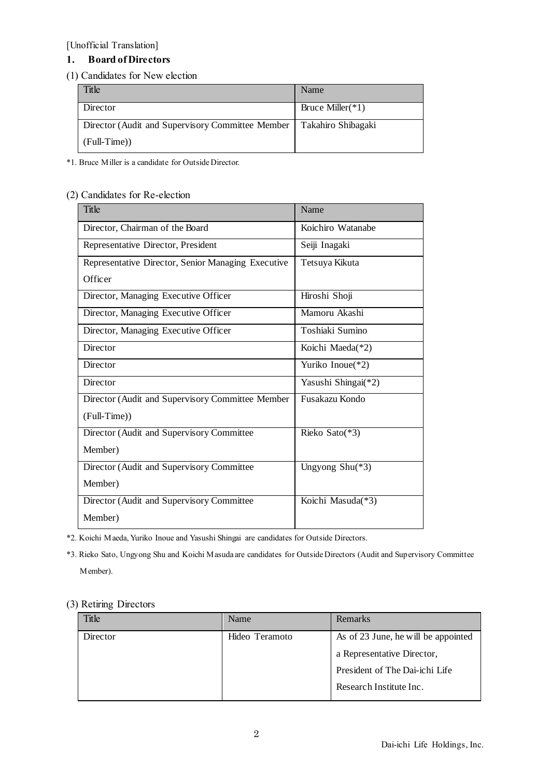### **1. Board of Directors**

#### (1) Candidates for New election

| Title                                            | Name                 |
|--------------------------------------------------|----------------------|
| Director                                         | Bruce Miller( $*1$ ) |
| Director (Audit and Supervisory Committee Member | Takahiro Shibagaki   |
| $(Full-Time)$                                    |                      |

\*1. Bruce Miller is a candidate for Outside Director.

### (2) Candidates for Re-election

| Title                                              | Name                |
|----------------------------------------------------|---------------------|
| Director, Chairman of the Board                    | Koichiro Watanabe   |
| Representative Director, President                 | Seiji Inagaki       |
| Representative Director, Senior Managing Executive | Tetsuya Kikuta      |
| Officer                                            |                     |
| Director, Managing Executive Officer               | Hiroshi Shoji       |
| Director, Managing Executive Officer               | Mamoru Akashi       |
| Director, Managing Executive Officer               | Toshiaki Sumino     |
| Director                                           | Koichi Maeda(*2)    |
| Director                                           | Yuriko Inoue(*2)    |
| Director                                           | Yasushi Shingai(*2) |
| Director (Audit and Supervisory Committee Member   | Fusakazu Kondo      |
| (Full-Time))                                       |                     |
| Director (Audit and Supervisory Committee          | Rieko Sato(*3)      |
| Member)                                            |                     |
| Director (Audit and Supervisory Committee          | Ungyong $Shu(*3)$   |
| Member)                                            |                     |
| Director (Audit and Supervisory Committee          | Koichi Masuda(*3)   |
| Member)                                            |                     |

\*2. Koichi Maeda, Yuriko Inoue and Yasushi Shingai are candidates for Outside Directors.

\*3. Rieko Sato, Ungyong Shu and Koichi Masuda are candidates for Outside Directors (Audit and Supervisory Committee Member).

#### (3) Retiring Directors

| Name           | Remarks                             |
|----------------|-------------------------------------|
| Hideo Teramoto | As of 23 June, he will be appointed |
|                | a Representative Director,          |
|                | President of The Dai-ichi Life      |
|                | Research Institute Inc.             |
|                |                                     |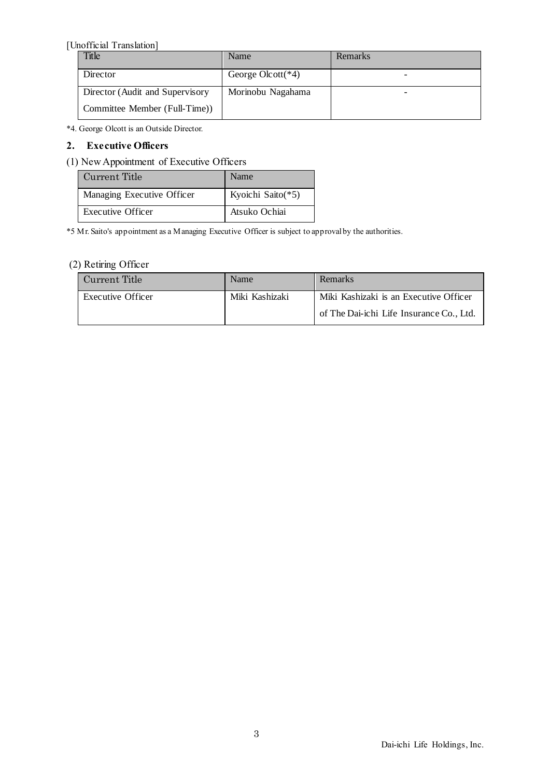| <b>Title</b>                    | Name                  | <b>Remarks</b> |
|---------------------------------|-----------------------|----------------|
| Director                        | George Olcott( $*4$ ) |                |
| Director (Audit and Supervisory | Morinobu Nagahama     | -              |
| Committee Member (Full-Time))   |                       |                |

\*4. George Olcott is an Outside Director.

#### **2. Executive Officers**

#### (1) New Appointment of Executive Officers

| Current Title              | Name              |
|----------------------------|-------------------|
| Managing Executive Officer | Kyoichi Saito(*5) |
| Executive Officer          | Atsuko Ochiai     |

\*5 Mr. Saito's appointment as a Managing Executive Officer is subject to approval by the authorities.

### (2) Retiring Officer

| Current Title            | Name           | <b>Remarks</b>                           |
|--------------------------|----------------|------------------------------------------|
| <b>Executive Officer</b> | Miki Kashizaki | Miki Kashizaki is an Executive Officer   |
|                          |                | of The Dai-ichi Life Insurance Co., Ltd. |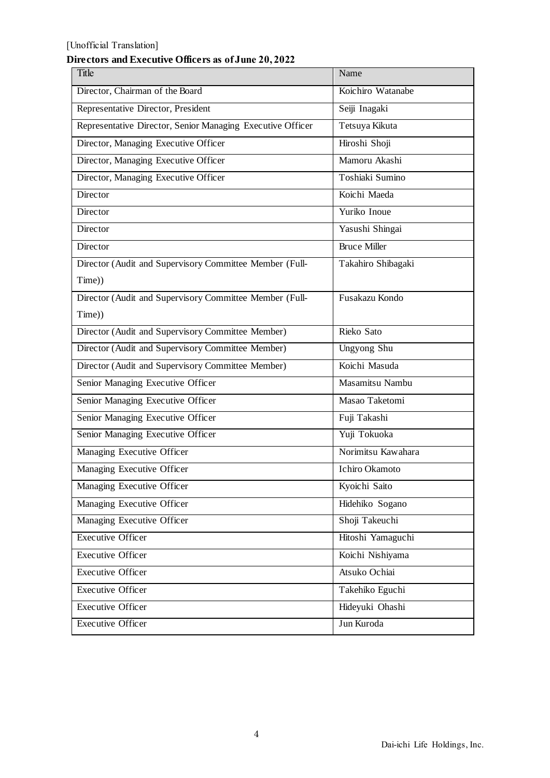# **Directors and Executive Officers as of June 20, 2022**

| Title                                                      | Name                  |
|------------------------------------------------------------|-----------------------|
| Director, Chairman of the Board                            | Koichiro Watanabe     |
| Representative Director, President                         | Seiji Inagaki         |
| Representative Director, Senior Managing Executive Officer | Tetsuya Kikuta        |
| Director, Managing Executive Officer                       | Hiroshi Shoji         |
| Director, Managing Executive Officer                       | Mamoru Akashi         |
| Director, Managing Executive Officer                       | Toshiaki Sumino       |
| Director                                                   | Koichi Maeda          |
| $\overline{D}$ irector                                     | Yuriko Inoue          |
| Director                                                   | Yasushi Shingai       |
| Director                                                   | <b>Bruce Miller</b>   |
| Director (Audit and Supervisory Committee Member (Full-    | Takahiro Shibagaki    |
| Time))                                                     |                       |
| Director (Audit and Supervisory Committee Member (Full-    | Fusakazu Kondo        |
| Time))                                                     |                       |
| Director (Audit and Supervisory Committee Member)          | Rieko Sato            |
| Director (Audit and Supervisory Committee Member)          | Ungyong Shu           |
| Director (Audit and Supervisory Committee Member)          | Koichi Masuda         |
| Senior Managing Executive Officer                          | Masamitsu Nambu       |
| Senior Managing Executive Officer                          | Masao Taketomi        |
| Senior Managing Executive Officer                          | Fuji Takashi          |
| Senior Managing Executive Officer                          | Yuji Tokuoka          |
| Managing Executive Officer                                 | Norimitsu Kawahara    |
| Managing Executive Officer                                 | <b>Ichiro Okamoto</b> |
| Managing Executive Officer                                 | Kyoichi Saito         |
| Managing Executive Officer                                 | Hidehiko Sogano       |
| Managing Executive Officer                                 | Shoji Takeuchi        |
| <b>Executive Officer</b>                                   | Hitoshi Yamaguchi     |
| <b>Executive Officer</b>                                   | Koichi Nishiyama      |
| <b>Executive Officer</b>                                   | Atsuko Ochiai         |
| <b>Executive Officer</b>                                   | Takehiko Eguchi       |
| <b>Executive Officer</b>                                   | Hideyuki Ohashi       |
| <b>Executive Officer</b>                                   | Jun Kuroda            |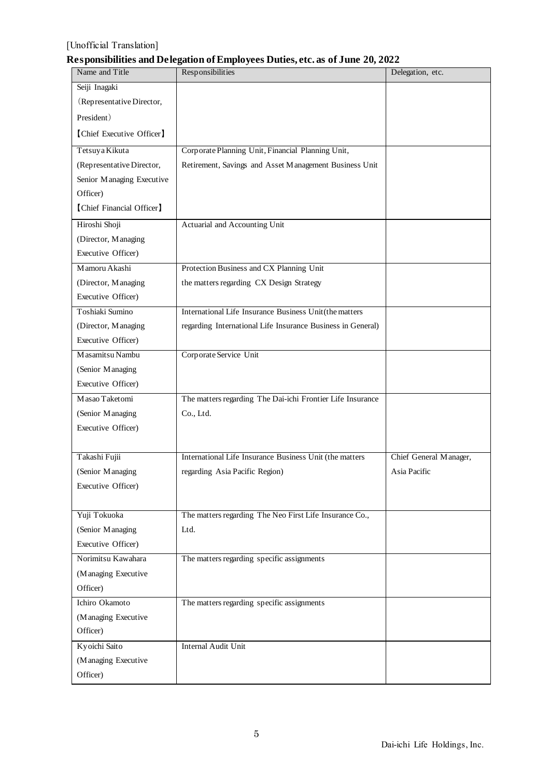## **Responsibilities and Delegation of Employees Duties, etc. as of June 20, 2022**

| Name and Title            | Responsibilities                                            | Delegation, etc.       |
|---------------------------|-------------------------------------------------------------|------------------------|
| Seiji Inagaki             |                                                             |                        |
| (Representative Director, |                                                             |                        |
| President)                |                                                             |                        |
| [Chief Executive Officer] |                                                             |                        |
| Tetsuya Kikuta            | Corporate Planning Unit, Financial Planning Unit,           |                        |
| (Representative Director, | Retirement, Savings and Asset Management Business Unit      |                        |
| Senior Managing Executive |                                                             |                        |
| Officer)                  |                                                             |                        |
| [Chief Financial Officer] |                                                             |                        |
| Hiroshi Shoji             | Actuarial and Accounting Unit                               |                        |
| (Director, Managing       |                                                             |                        |
| Executive Officer)        |                                                             |                        |
| Mamoru Akashi             | Protection Business and CX Planning Unit                    |                        |
| (Director, Managing       | the matters regarding CX Design Strategy                    |                        |
| Executive Officer)        |                                                             |                        |
| Toshiaki Sumino           | International Life Insurance Business Unit(the matters      |                        |
| (Director, Managing       | regarding International Life Insurance Business in General) |                        |
| Executive Officer)        |                                                             |                        |
| Masamitsu Nambu           | Corporate Service Unit                                      |                        |
| (Senior Managing          |                                                             |                        |
| Executive Officer)        |                                                             |                        |
| Masao Taketomi            | The matters regarding The Dai-ichi Frontier Life Insurance  |                        |
| (Senior Managing          | Co., Ltd.                                                   |                        |
| Executive Officer)        |                                                             |                        |
|                           |                                                             |                        |
| Takashi Fujii             | International Life Insurance Business Unit (the matters     | Chief General Manager, |
| (Senior Managing          | regarding Asia Pacific Region)                              | Asia Pacific           |
| Executive Officer)        |                                                             |                        |
|                           |                                                             |                        |
| Yuji Tokuoka              | The matters regarding The Neo First Life Insurance Co.,     |                        |
| (Senior Managing          | Ltd.                                                        |                        |
| Executive Officer)        |                                                             |                        |
| Norimitsu Kawahara        | The matters regarding specific assignments                  |                        |
| (Managing Executive       |                                                             |                        |
| Officer)                  |                                                             |                        |
| Ichiro Okamoto            | The matters regarding specific assignments                  |                        |
| (Managing Executive       |                                                             |                        |
| Officer)                  |                                                             |                        |
| Kyoichi Saito             | Internal Audit Unit                                         |                        |
| (Managing Executive       |                                                             |                        |
| Officer)                  |                                                             |                        |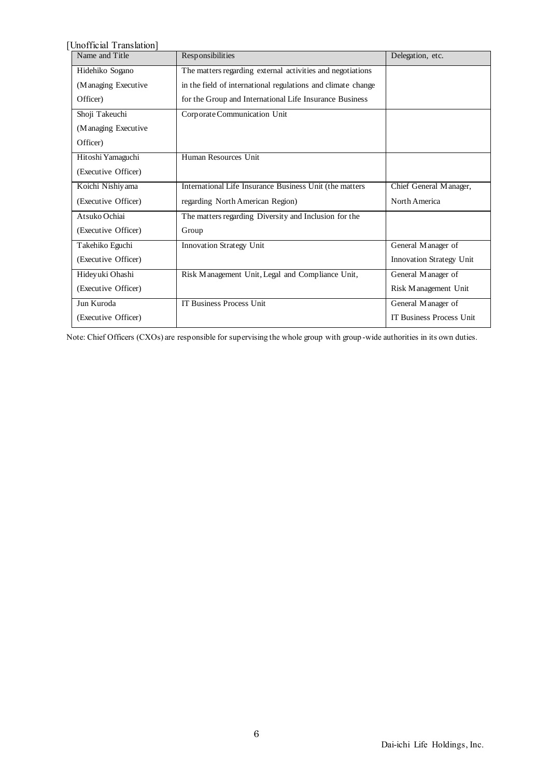[Unofficial Translation]<br>Name and Title Responsibilities Delegation, etc. Hidehiko Sogano (Managing Executive Officer) The matters regarding external activities and negotiations in the field of international regulations and climate change for the Group and International Life Insurance Business Shoji Takeuchi (Managing Executive Officer) Corporate Communication Unit Hitoshi Yamaguchi (Executive Officer) Human Resources Unit Koichi Nishiyama (Executive Officer) International Life Insurance Business Unit (the matters regarding North American Region) Chief General Manager, North America Atsuko Ochiai (Executive Officer) The matters regarding Diversity and Inclusion for the Group Takehiko Eguchi (Executive Officer) Innovation Strategy Unit General Manager of Innovation Strategy Unit Hideyuki Ohashi (Executive Officer) Risk Management Unit, Legal and Compliance Unit, General Manager of Risk Management Unit Jun Kuroda (Executive Officer) IT Business Process Unit General Manager of IT Business Process Unit

Note: Chief Officers (CXOs) are responsible for supervising the whole group with group -wide authorities in its own duties.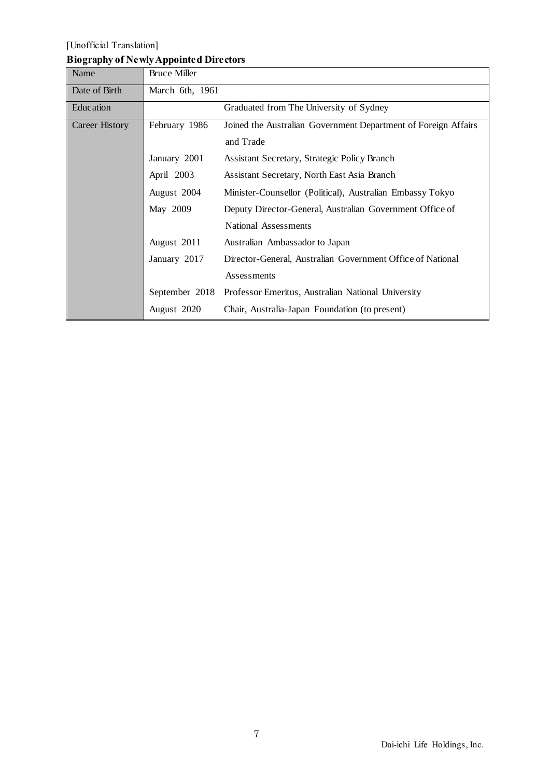# [Unofficial Translation] **Biography of Newly Appointed Directors**

| Name           | <b>Bruce Miller</b> |                                                                |
|----------------|---------------------|----------------------------------------------------------------|
| Date of Birth  | March 6th, 1961     |                                                                |
| Education      |                     | Graduated from The University of Sydney                        |
| Career History | February 1986       | Joined the Australian Government Department of Foreign Affairs |
|                |                     | and Trade                                                      |
|                | January 2001        | Assistant Secretary, Strategic Policy Branch                   |
|                | April 2003          | Assistant Secretary, North East Asia Branch                    |
|                | August 2004         | Minister-Counsellor (Political), Australian Embassy Tokyo      |
|                | May 2009            | Deputy Director-General, Australian Government Office of       |
|                |                     | National Assessments                                           |
|                | August 2011         | Australian Ambassador to Japan                                 |
|                | January 2017        | Director-General, Australian Government Office of National     |
|                |                     | Assessments                                                    |
|                | September 2018      | Professor Emeritus, Australian National University             |
|                | August 2020         | Chair, Australia-Japan Foundation (to present)                 |